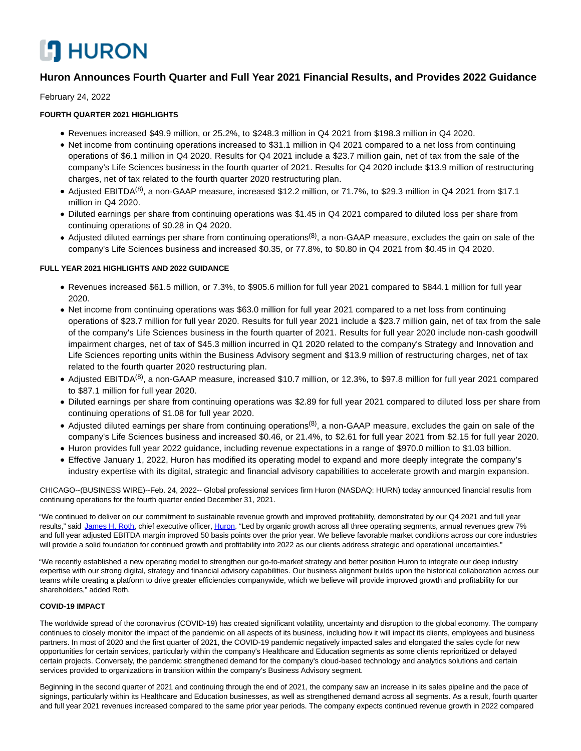# **CO HURON**

# **Huron Announces Fourth Quarter and Full Year 2021 Financial Results, and Provides 2022 Guidance**

February 24, 2022

## **FOURTH QUARTER 2021 HIGHLIGHTS**

- Revenues increased \$49.9 million, or 25.2%, to \$248.3 million in Q4 2021 from \$198.3 million in Q4 2020.
- Net income from continuing operations increased to \$31.1 million in Q4 2021 compared to a net loss from continuing operations of \$6.1 million in Q4 2020. Results for Q4 2021 include a \$23.7 million gain, net of tax from the sale of the company's Life Sciences business in the fourth quarter of 2021. Results for Q4 2020 include \$13.9 million of restructuring charges, net of tax related to the fourth quarter 2020 restructuring plan.
- Adjusted EBITDA<sup>(8)</sup>, a non-GAAP measure, increased \$12.2 million, or 71.7%, to \$29.3 million in Q4 2021 from \$17.1 million in Q4 2020.
- Diluted earnings per share from continuing operations was \$1.45 in Q4 2021 compared to diluted loss per share from continuing operations of \$0.28 in Q4 2020.
- Adjusted diluted earnings per share from continuing operations<sup>(8)</sup>, a non-GAAP measure, excludes the gain on sale of the company's Life Sciences business and increased \$0.35, or 77.8%, to \$0.80 in Q4 2021 from \$0.45 in Q4 2020.

## **FULL YEAR 2021 HIGHLIGHTS AND 2022 GUIDANCE**

- Revenues increased \$61.5 million, or 7.3%, to \$905.6 million for full year 2021 compared to \$844.1 million for full year 2020.
- Net income from continuing operations was \$63.0 million for full year 2021 compared to a net loss from continuing operations of \$23.7 million for full year 2020. Results for full year 2021 include a \$23.7 million gain, net of tax from the sale of the company's Life Sciences business in the fourth quarter of 2021. Results for full year 2020 include non-cash goodwill impairment charges, net of tax of \$45.3 million incurred in Q1 2020 related to the company's Strategy and Innovation and Life Sciences reporting units within the Business Advisory segment and \$13.9 million of restructuring charges, net of tax related to the fourth quarter 2020 restructuring plan.
- Adjusted EBITDA<sup>(8)</sup>, a non-GAAP measure, increased \$10.7 million, or 12.3%, to \$97.8 million for full year 2021 compared to \$87.1 million for full year 2020.
- Diluted earnings per share from continuing operations was \$2.89 for full year 2021 compared to diluted loss per share from continuing operations of \$1.08 for full year 2020.
- Adjusted diluted earnings per share from continuing operations<sup>(8)</sup>, a non-GAAP measure, excludes the gain on sale of the company's Life Sciences business and increased \$0.46, or 21.4%, to \$2.61 for full year 2021 from \$2.15 for full year 2020.
- Huron provides full year 2022 guidance, including revenue expectations in a range of \$970.0 million to \$1.03 billion.
- Effective January 1, 2022, Huron has modified its operating model to expand and more deeply integrate the company's industry expertise with its digital, strategic and financial advisory capabilities to accelerate growth and margin expansion.

CHICAGO--(BUSINESS WIRE)--Feb. 24, 2022-- Global professional services firm Huron (NASDAQ: HURN) today announced financial results from continuing operations for the fourth quarter ended December 31, 2021.

"We continued to deliver on our commitment to sustainable revenue growth and improved profitability, demonstrated by our Q4 2021 and full year results," said [James H. Roth,](https://cts.businesswire.com/ct/CT?id=smartlink&url=https%3A%2F%2Fwww.huronconsultinggroup.com%2Fcompany%2Fexperts%2Femployees%2Fjim-roth&esheet=52584961&newsitemid=20220224005438&lan=en-US&anchor=James+H.+Roth&index=1&md5=ebe19a1529d7be95496fea0340c4514b) chief executive officer, [Huron.](https://cts.businesswire.com/ct/CT?id=smartlink&url=https%3A%2F%2Fwww.huronconsultinggroup.com%2F&esheet=52584961&newsitemid=20220224005438&lan=en-US&anchor=Huron&index=2&md5=c211e3e4abe3919be6ca1b0f33358177) "Led by organic growth across all three operating segments, annual revenues grew 7% and full year adjusted EBITDA margin improved 50 basis points over the prior year. We believe favorable market conditions across our core industries will provide a solid foundation for continued growth and profitability into 2022 as our clients address strategic and operational uncertainties."

"We recently established a new operating model to strengthen our go-to-market strategy and better position Huron to integrate our deep industry expertise with our strong digital, strategy and financial advisory capabilities. Our business alignment builds upon the historical collaboration across our teams while creating a platform to drive greater efficiencies companywide, which we believe will provide improved growth and profitability for our shareholders," added Roth.

## **COVID-19 IMPACT**

The worldwide spread of the coronavirus (COVID-19) has created significant volatility, uncertainty and disruption to the global economy. The company continues to closely monitor the impact of the pandemic on all aspects of its business, including how it will impact its clients, employees and business partners. In most of 2020 and the first quarter of 2021, the COVID-19 pandemic negatively impacted sales and elongated the sales cycle for new opportunities for certain services, particularly within the company's Healthcare and Education segments as some clients reprioritized or delayed certain projects. Conversely, the pandemic strengthened demand for the company's cloud-based technology and analytics solutions and certain services provided to organizations in transition within the company's Business Advisory segment.

Beginning in the second quarter of 2021 and continuing through the end of 2021, the company saw an increase in its sales pipeline and the pace of signings, particularly within its Healthcare and Education businesses, as well as strengthened demand across all segments. As a result, fourth quarter and full year 2021 revenues increased compared to the same prior year periods. The company expects continued revenue growth in 2022 compared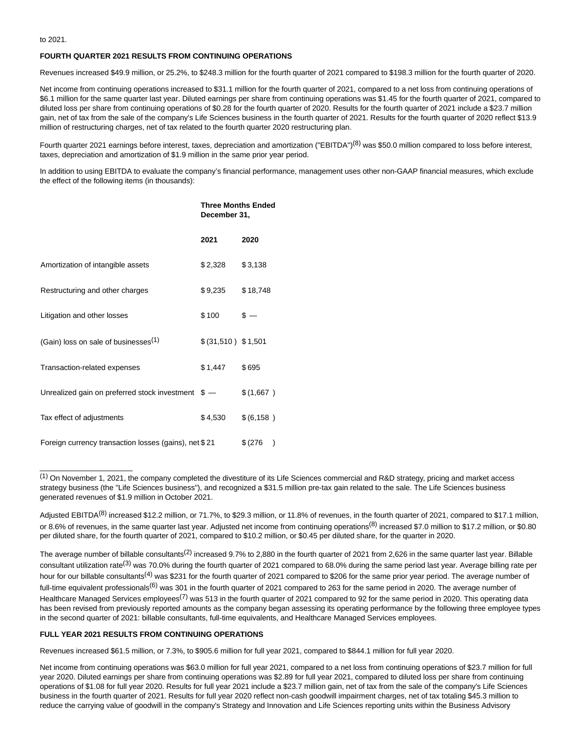to 2021.

### **FOURTH QUARTER 2021 RESULTS FROM CONTINUING OPERATIONS**

Revenues increased \$49.9 million, or 25.2%, to \$248.3 million for the fourth quarter of 2021 compared to \$198.3 million for the fourth quarter of 2020.

Net income from continuing operations increased to \$31.1 million for the fourth quarter of 2021, compared to a net loss from continuing operations of \$6.1 million for the same quarter last year. Diluted earnings per share from continuing operations was \$1.45 for the fourth quarter of 2021, compared to diluted loss per share from continuing operations of \$0.28 for the fourth quarter of 2020. Results for the fourth quarter of 2021 include a \$23.7 million gain, net of tax from the sale of the company's Life Sciences business in the fourth quarter of 2021. Results for the fourth quarter of 2020 reflect \$13.9 million of restructuring charges, net of tax related to the fourth quarter 2020 restructuring plan.

Fourth quarter 2021 earnings before interest, taxes, depreciation and amortization ("EBITDA")<sup>(8)</sup> was \$50.0 million compared to loss before interest, taxes, depreciation and amortization of \$1.9 million in the same prior year period.

In addition to using EBITDA to evaluate the company's financial performance, management uses other non-GAAP financial measures, which exclude the effect of the following items (in thousands):

|                                                       | <b>Three Months Ended</b><br>December 31, |            |
|-------------------------------------------------------|-------------------------------------------|------------|
|                                                       | 2021                                      | 2020       |
| Amortization of intangible assets                     | \$2,328                                   | \$3,138    |
| Restructuring and other charges                       | $$9,235$ $$18,748$                        |            |
| Litigation and other losses                           | \$100                                     | $s -$      |
| (Gain) loss on sale of businesses <sup>(1)</sup>      | \$ (31,510) \$1,501                       |            |
| Transaction-related expenses                          | \$1,447                                   | \$695      |
| Unrealized gain on preferred stock investment \$ -    |                                           | \$ (1,667) |
| Tax effect of adjustments                             | \$4,530                                   | \$(6, 158) |
| Foreign currency transaction losses (gains), net \$21 |                                           | \$(276)    |

 $(1)$  On November 1, 2021, the company completed the divestiture of its Life Sciences commercial and R&D strategy, pricing and market access strategy business (the "Life Sciences business"), and recognized a \$31.5 million pre-tax gain related to the sale. The Life Sciences business generated revenues of \$1.9 million in October 2021.

The average number of billable consultants<sup>(2)</sup> increased 9.7% to 2,880 in the fourth quarter of 2021 from 2,626 in the same quarter last year. Billable consultant utilization rate<sup>(3)</sup> was 70.0% during the fourth quarter of 2021 compared to 68.0% during the same period last year. Average billing rate per hour for our billable consultants<sup>(4)</sup> was \$231 for the fourth quarter of 2021 compared to \$206 for the same prior year period. The average number of full-time equivalent professionals<sup>(6)</sup> was 301 in the fourth quarter of 2021 compared to 263 for the same period in 2020. The average number of Healthcare Managed Services employees<sup>(7)</sup> was 513 in the fourth quarter of 2021 compared to 92 for the same period in 2020. This operating data has been revised from previously reported amounts as the company began assessing its operating performance by the following three employee types in the second quarter of 2021: billable consultants, full-time equivalents, and Healthcare Managed Services employees.

#### **FULL YEAR 2021 RESULTS FROM CONTINUING OPERATIONS**

 $\overline{\phantom{a}}$  , where  $\overline{\phantom{a}}$  , where  $\overline{\phantom{a}}$  ,  $\overline{\phantom{a}}$  ,  $\overline{\phantom{a}}$  ,  $\overline{\phantom{a}}$  ,  $\overline{\phantom{a}}$  ,  $\overline{\phantom{a}}$  ,  $\overline{\phantom{a}}$  ,  $\overline{\phantom{a}}$  ,  $\overline{\phantom{a}}$  ,  $\overline{\phantom{a}}$  ,  $\overline{\phantom{a}}$  ,  $\overline{\phantom{a}}$  ,  $\overline{\phantom{a}}$  ,

Revenues increased \$61.5 million, or 7.3%, to \$905.6 million for full year 2021, compared to \$844.1 million for full year 2020.

Net income from continuing operations was \$63.0 million for full year 2021, compared to a net loss from continuing operations of \$23.7 million for full year 2020. Diluted earnings per share from continuing operations was \$2.89 for full year 2021, compared to diluted loss per share from continuing operations of \$1.08 for full year 2020. Results for full year 2021 include a \$23.7 million gain, net of tax from the sale of the company's Life Sciences business in the fourth quarter of 2021. Results for full year 2020 reflect non-cash goodwill impairment charges, net of tax totaling \$45.3 million to reduce the carrying value of goodwill in the company's Strategy and Innovation and Life Sciences reporting units within the Business Advisory

Adjusted EBITDA<sup>(8)</sup> increased \$12.2 million, or 71.7%, to \$29.3 million, or 11.8% of revenues, in the fourth quarter of 2021, compared to \$17.1 million, or 8.6% of revenues, in the same quarter last year. Adjusted net income from continuing operations<sup>(8)</sup> increased \$7.0 million to \$17.2 million, or \$0.80 per diluted share, for the fourth quarter of 2021, compared to \$10.2 million, or \$0.45 per diluted share, for the quarter in 2020.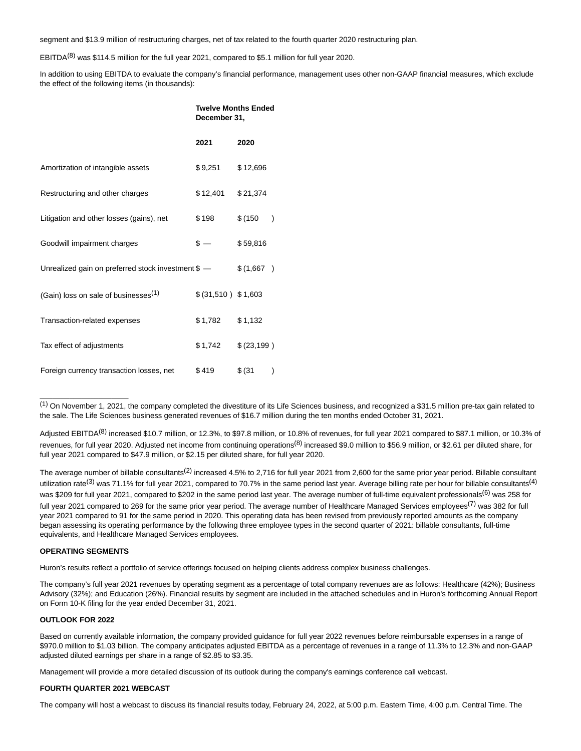segment and \$13.9 million of restructuring charges, net of tax related to the fourth quarter 2020 restructuring plan.

EBITDA<sup>(8)</sup> was \$114.5 million for the full year 2021, compared to \$5.1 million for full year 2020.

In addition to using EBITDA to evaluate the company's financial performance, management uses other non-GAAP financial measures, which exclude the effect of the following items (in thousands):

|                                                    | <b>Twelve Months Ended</b><br>December 31, |                          |  |
|----------------------------------------------------|--------------------------------------------|--------------------------|--|
|                                                    | 2021                                       | 2020                     |  |
| Amortization of intangible assets                  | \$9,251                                    | \$12,696                 |  |
| Restructuring and other charges                    | \$12,401                                   | \$21,374                 |  |
| Litigation and other losses (gains), net           | \$198                                      | \$(150<br>$\lambda$      |  |
| Goodwill impairment charges                        | $s -$                                      | \$59,816                 |  |
| Unrealized gain on preferred stock investment \$ - |                                            | \$(1,667)                |  |
| (Gain) loss on sale of businesses <sup>(1)</sup>   | \$ (31,510) \$1,603                        |                          |  |
| Transaction-related expenses                       | \$1,782                                    | \$1,132                  |  |
| Tax effect of adjustments                          | \$1,742                                    | \$(23,199)               |  |
| Foreign currency transaction losses, net           | \$419                                      | \$ (31)<br>$\mathcal{E}$ |  |

 $<sup>(1)</sup>$  On November 1, 2021, the company completed the divestiture of its Life Sciences business, and recognized a \$31.5 million pre-tax gain related to</sup> the sale. The Life Sciences business generated revenues of \$16.7 million during the ten months ended October 31, 2021.

Adjusted EBITDA<sup>(8)</sup> increased \$10.7 million, or 12.3%, to \$97.8 million, or 10.8% of revenues, for full year 2021 compared to \$87.1 million, or 10.3% of revenues, for full year 2020. Adjusted net income from continuing operations<sup>(8)</sup> increased \$9.0 million to \$56.9 million, or \$2.61 per diluted share, for full year 2021 compared to \$47.9 million, or \$2.15 per diluted share, for full year 2020.

The average number of billable consultants<sup>(2)</sup> increased 4.5% to 2,716 for full year 2021 from 2,600 for the same prior year period. Billable consultant utilization rate<sup>(3)</sup> was 71.1% for full year 2021, compared to 70.7% in the same period last year. Average billing rate per hour for billable consultants<sup>(4)</sup> was \$209 for full year 2021, compared to \$202 in the same period last year. The average number of full-time equivalent professionals<sup>(6)</sup> was 258 for full year 2021 compared to 269 for the same prior year period. The average number of Healthcare Managed Services employees<sup>(7)</sup> was 382 for full year 2021 compared to 91 for the same period in 2020. This operating data has been revised from previously reported amounts as the company began assessing its operating performance by the following three employee types in the second quarter of 2021: billable consultants, full-time equivalents, and Healthcare Managed Services employees.

#### **OPERATING SEGMENTS**

 $\_$ 

Huron's results reflect a portfolio of service offerings focused on helping clients address complex business challenges.

The company's full year 2021 revenues by operating segment as a percentage of total company revenues are as follows: Healthcare (42%); Business Advisory (32%); and Education (26%). Financial results by segment are included in the attached schedules and in Huron's forthcoming Annual Report on Form 10-K filing for the year ended December 31, 2021.

### **OUTLOOK FOR 2022**

Based on currently available information, the company provided guidance for full year 2022 revenues before reimbursable expenses in a range of \$970.0 million to \$1.03 billion. The company anticipates adjusted EBITDA as a percentage of revenues in a range of 11.3% to 12.3% and non-GAAP adjusted diluted earnings per share in a range of \$2.85 to \$3.35.

Management will provide a more detailed discussion of its outlook during the company's earnings conference call webcast.

#### **FOURTH QUARTER 2021 WEBCAST**

The company will host a webcast to discuss its financial results today, February 24, 2022, at 5:00 p.m. Eastern Time, 4:00 p.m. Central Time. The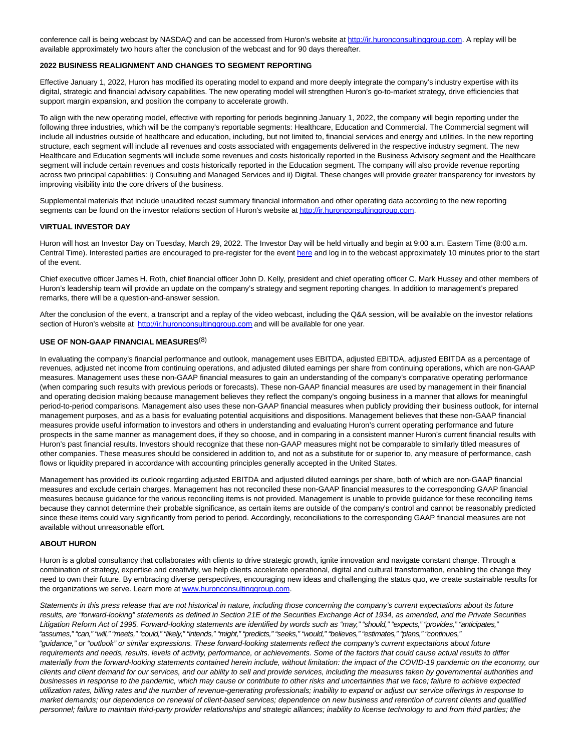conference call is being webcast by NASDAQ and can be accessed from Huron's website at [http://ir.huronconsultinggroup.com.](https://cts.businesswire.com/ct/CT?id=smartlink&url=http%3A%2F%2Fir.huronconsultinggroup.com&esheet=52584961&newsitemid=20220224005438&lan=en-US&anchor=http%3A%2F%2Fir.huronconsultinggroup.com&index=3&md5=bb3430123f48589fa33771d335be1434) A replay will be available approximately two hours after the conclusion of the webcast and for 90 days thereafter.

#### **2022 BUSINESS REALIGNMENT AND CHANGES TO SEGMENT REPORTING**

Effective January 1, 2022, Huron has modified its operating model to expand and more deeply integrate the company's industry expertise with its digital, strategic and financial advisory capabilities. The new operating model will strengthen Huron's go-to-market strategy, drive efficiencies that support margin expansion, and position the company to accelerate growth.

To align with the new operating model, effective with reporting for periods beginning January 1, 2022, the company will begin reporting under the following three industries, which will be the company's reportable segments: Healthcare, Education and Commercial. The Commercial segment will include all industries outside of healthcare and education, including, but not limited to, financial services and energy and utilities. In the new reporting structure, each segment will include all revenues and costs associated with engagements delivered in the respective industry segment. The new Healthcare and Education segments will include some revenues and costs historically reported in the Business Advisory segment and the Healthcare segment will include certain revenues and costs historically reported in the Education segment. The company will also provide revenue reporting across two principal capabilities: i) Consulting and Managed Services and ii) Digital. These changes will provide greater transparency for investors by improving visibility into the core drivers of the business.

Supplemental materials that include unaudited recast summary financial information and other operating data according to the new reporting segments can be found on the investor relations section of Huron's website at [http://ir.huronconsultinggroup.com.](https://cts.businesswire.com/ct/CT?id=smartlink&url=http%3A%2F%2Fir.huronconsultinggroup.com&esheet=52584961&newsitemid=20220224005438&lan=en-US&anchor=http%3A%2F%2Fir.huronconsultinggroup.com&index=4&md5=d96dfc75726d86b2fbb4a3f74d02ed9f)

#### **VIRTUAL INVESTOR DAY**

Huron will host an Investor Day on Tuesday, March 29, 2022. The Investor Day will be held virtually and begin at 9:00 a.m. Eastern Time (8:00 a.m. Central Time). Interested parties are encouraged to pre-register for the even[t here a](https://cts.businesswire.com/ct/CT?id=smartlink&url=https%3A%2F%2Fonlinexperiences.com%2Fscripts%2FServer.nxp%3FLASCmd%3DAI%3A4%3BF%3AQS%2110100%26ShowUUID%3DD37AAE6B-215D-477D-A69D-0CCDBB847169&esheet=52584961&newsitemid=20220224005438&lan=en-US&anchor=here&index=5&md5=595d8f862370c24df8206830c1180a73)nd log in to the webcast approximately 10 minutes prior to the start of the event.

Chief executive officer James H. Roth, chief financial officer John D. Kelly, president and chief operating officer C. Mark Hussey and other members of Huron's leadership team will provide an update on the company's strategy and segment reporting changes. In addition to management's prepared remarks, there will be a question-and-answer session.

After the conclusion of the event, a transcript and a replay of the video webcast, including the Q&A session, will be available on the investor relations section of Huron's website at [http://ir.huronconsultinggroup.com a](https://cts.businesswire.com/ct/CT?id=smartlink&url=http%3A%2F%2Fir.huronconsultinggroup.com&esheet=52584961&newsitemid=20220224005438&lan=en-US&anchor=http%3A%2F%2Fir.huronconsultinggroup.com&index=6&md5=445edacf81e24dce7af93d6a0e125d7c)nd will be available for one year.

## **USE OF NON-GAAP FINANCIAL MEASURES**(8)

In evaluating the company's financial performance and outlook, management uses EBITDA, adjusted EBITDA, adjusted EBITDA as a percentage of revenues, adjusted net income from continuing operations, and adjusted diluted earnings per share from continuing operations, which are non-GAAP measures. Management uses these non-GAAP financial measures to gain an understanding of the company's comparative operating performance (when comparing such results with previous periods or forecasts). These non-GAAP financial measures are used by management in their financial and operating decision making because management believes they reflect the company's ongoing business in a manner that allows for meaningful period-to-period comparisons. Management also uses these non-GAAP financial measures when publicly providing their business outlook, for internal management purposes, and as a basis for evaluating potential acquisitions and dispositions. Management believes that these non-GAAP financial measures provide useful information to investors and others in understanding and evaluating Huron's current operating performance and future prospects in the same manner as management does, if they so choose, and in comparing in a consistent manner Huron's current financial results with Huron's past financial results. Investors should recognize that these non-GAAP measures might not be comparable to similarly titled measures of other companies. These measures should be considered in addition to, and not as a substitute for or superior to, any measure of performance, cash flows or liquidity prepared in accordance with accounting principles generally accepted in the United States.

Management has provided its outlook regarding adjusted EBITDA and adjusted diluted earnings per share, both of which are non-GAAP financial measures and exclude certain charges. Management has not reconciled these non-GAAP financial measures to the corresponding GAAP financial measures because guidance for the various reconciling items is not provided. Management is unable to provide guidance for these reconciling items because they cannot determine their probable significance, as certain items are outside of the company's control and cannot be reasonably predicted since these items could vary significantly from period to period. Accordingly, reconciliations to the corresponding GAAP financial measures are not available without unreasonable effort.

#### **ABOUT HURON**

Huron is a global consultancy that collaborates with clients to drive strategic growth, ignite innovation and navigate constant change. Through a combination of strategy, expertise and creativity, we help clients accelerate operational, digital and cultural transformation, enabling the change they need to own their future. By embracing diverse perspectives, encouraging new ideas and challenging the status quo, we create sustainable results for the organizations we serve. Learn more a[t www.huronconsultinggroup.com.](https://cts.businesswire.com/ct/CT?id=smartlink&url=http%3A%2F%2Fwww.huronconsultinggroup.com&esheet=52584961&newsitemid=20220224005438&lan=en-US&anchor=www.huronconsultinggroup.com&index=7&md5=ac7ba2241d699a45c19ace5ae7baa360)

Statements in this press release that are not historical in nature, including those concerning the company's current expectations about its future results, are "forward-looking" statements as defined in Section 21E of the Securities Exchange Act of 1934, as amended, and the Private Securities Litigation Reform Act of 1995. Forward-looking statements are identified by words such as "may," "should," "expects," "provides," "anticipates," "assumes," "can," "will," "meets," "could," "likely," "intends," "might," "predicts," "seeks," "would," "believes," "estimates," "plans," "continues," "guidance," or "outlook" or similar expressions. These forward-looking statements reflect the company's current expectations about future requirements and needs, results, levels of activity, performance, or achievements. Some of the factors that could cause actual results to differ materially from the forward-looking statements contained herein include, without limitation: the impact of the COVID-19 pandemic on the economy, our clients and client demand for our services, and our ability to sell and provide services, including the measures taken by governmental authorities and businesses in response to the pandemic, which may cause or contribute to other risks and uncertainties that we face; failure to achieve expected utilization rates, billing rates and the number of revenue-generating professionals; inability to expand or adjust our service offerings in response to market demands; our dependence on renewal of client-based services; dependence on new business and retention of current clients and qualified personnel; failure to maintain third-party provider relationships and strategic alliances; inability to license technology to and from third parties; the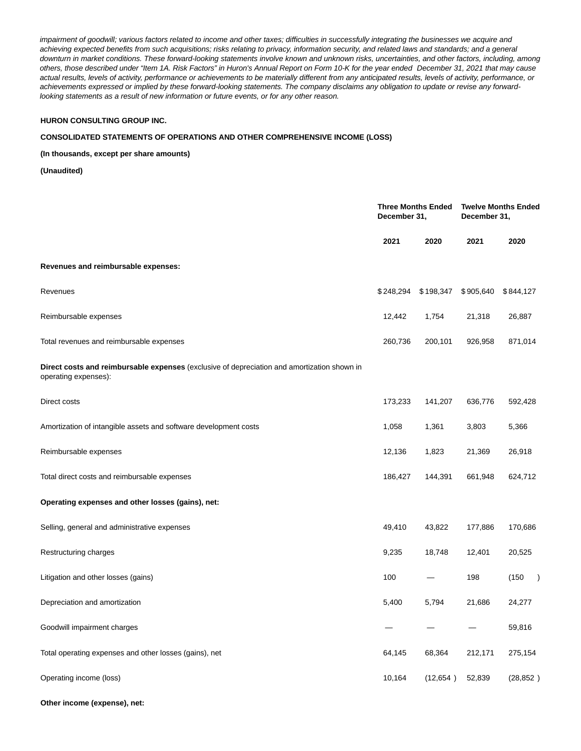impairment of goodwill; various factors related to income and other taxes; difficulties in successfully integrating the businesses we acquire and achieving expected benefits from such acquisitions; risks relating to privacy, information security, and related laws and standards; and a general downturn in market conditions. These forward-looking statements involve known and unknown risks, uncertainties, and other factors, including, among others, those described under "Item 1A. Risk Factors" in Huron's Annual Report on Form 10-K for the year ended December 31, 2021 that may cause actual results, levels of activity, performance or achievements to be materially different from any anticipated results, levels of activity, performance, or achievements expressed or implied by these forward-looking statements. The company disclaims any obligation to update or revise any forwardlooking statements as a result of new information or future events, or for any other reason.

## **HURON CONSULTING GROUP INC.**

#### **CONSOLIDATED STATEMENTS OF OPERATIONS AND OTHER COMPREHENSIVE INCOME (LOSS)**

#### **(In thousands, except per share amounts)**

**(Unaudited)**

|                                                                                                                     | December 31, | <b>Three Months Ended</b> | <b>Twelve Months Ended</b><br>December 31, |              |  |
|---------------------------------------------------------------------------------------------------------------------|--------------|---------------------------|--------------------------------------------|--------------|--|
|                                                                                                                     | 2021         | 2020                      | 2021                                       | 2020         |  |
| Revenues and reimbursable expenses:                                                                                 |              |                           |                                            |              |  |
| Revenues                                                                                                            | \$248,294    | \$198,347                 | \$905,640                                  | \$844,127    |  |
| Reimbursable expenses                                                                                               | 12,442       | 1,754                     | 21,318                                     | 26,887       |  |
| Total revenues and reimbursable expenses                                                                            | 260,736      | 200,101                   | 926,958                                    | 871,014      |  |
| Direct costs and reimbursable expenses (exclusive of depreciation and amortization shown in<br>operating expenses): |              |                           |                                            |              |  |
| Direct costs                                                                                                        | 173,233      | 141,207                   | 636,776                                    | 592,428      |  |
| Amortization of intangible assets and software development costs                                                    | 1,058        | 1,361                     | 3,803                                      | 5,366        |  |
| Reimbursable expenses                                                                                               | 12,136       | 1,823                     | 21,369                                     | 26,918       |  |
| Total direct costs and reimbursable expenses                                                                        | 186,427      | 144,391                   | 661,948                                    | 624,712      |  |
| Operating expenses and other losses (gains), net:                                                                   |              |                           |                                            |              |  |
| Selling, general and administrative expenses                                                                        | 49,410       | 43,822                    | 177,886                                    | 170,686      |  |
| Restructuring charges                                                                                               | 9,235        | 18,748                    | 12,401                                     | 20,525       |  |
| Litigation and other losses (gains)                                                                                 | 100          |                           | 198                                        | (150)<br>- 1 |  |
| Depreciation and amortization                                                                                       | 5,400        | 5,794                     | 21,686                                     | 24,277       |  |
| Goodwill impairment charges                                                                                         |              |                           |                                            | 59,816       |  |
| Total operating expenses and other losses (gains), net                                                              | 64,145       | 68,364                    | 212,171                                    | 275,154      |  |
| Operating income (loss)                                                                                             | 10,164       | (12, 654)                 | 52,839                                     | (28, 852)    |  |

**Other income (expense), net:**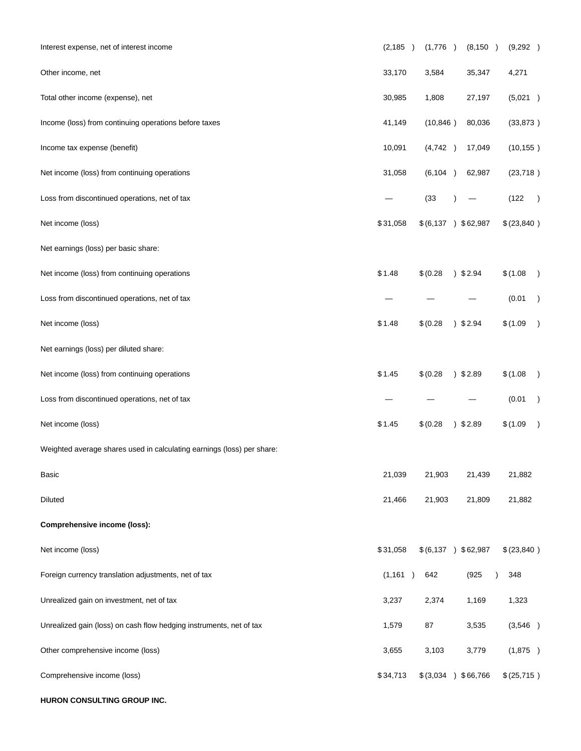| Interest expense, net of interest income                               | (2, 185) | (1,776)                     | (8, 150)           | (9,292)                   |
|------------------------------------------------------------------------|----------|-----------------------------|--------------------|---------------------------|
| Other income, net                                                      | 33,170   | 3,584                       | 35,347             | 4,271                     |
| Total other income (expense), net                                      | 30,985   | 1,808                       | 27,197             | (5,021)                   |
| Income (loss) from continuing operations before taxes                  | 41,149   | (10, 846)                   | 80,036             | (33, 873)                 |
| Income tax expense (benefit)                                           | 10,091   | (4,742)                     | 17,049             | (10, 155)                 |
| Net income (loss) from continuing operations                           | 31,058   | (6, 104)                    | 62,987             | (23, 718)                 |
| Loss from discontinued operations, net of tax                          |          | (33)                        |                    | (122)<br>$\rightarrow$    |
| Net income (loss)                                                      | \$31,058 | \$ (6,137) \$62,987         |                    | \$(23,840)                |
| Net earnings (loss) per basic share:                                   |          |                             |                    |                           |
| Net income (loss) from continuing operations                           | \$1.48   | \$ (0.28)                   | 32.94              | \$(1.08)<br>$\rightarrow$ |
| Loss from discontinued operations, net of tax                          |          |                             |                    | (0.01)<br>$\rightarrow$   |
| Net income (loss)                                                      | \$1.48   | \$(0.28)                    | 32.94              | \$(1.09)<br>$\rightarrow$ |
| Net earnings (loss) per diluted share:                                 |          |                             |                    |                           |
| Net income (loss) from continuing operations                           | \$1.45   | \$ (0.28)                   | 32.89              | \$(1.08)<br>$\rightarrow$ |
| Loss from discontinued operations, net of tax                          |          |                             |                    | (0.01)<br>$\rightarrow$   |
| Net income (loss)                                                      | \$1.45   | \$(0.28)                    | $)$ \$2.89         | \$(1.09)<br>$\rightarrow$ |
| Weighted average shares used in calculating earnings (loss) per share: |          |                             |                    |                           |
| Basic                                                                  | 21,039   | 21,903                      | 21,439             | 21,882                    |
| Diluted                                                                | 21,466   | 21,903                      | 21,809             | 21,882                    |
| <b>Comprehensive income (loss):</b>                                    |          |                             |                    |                           |
| Net income (loss)                                                      | \$31,058 | $$(6,137)$ \; \$62,987      |                    | \$(23,840)                |
| Foreign currency translation adjustments, net of tax                   | (1, 161) | 642                         | (925)<br>$\lambda$ | 348                       |
| Unrealized gain on investment, net of tax                              | 3,237    | 2,374                       | 1,169              | 1,323                     |
| Unrealized gain (loss) on cash flow hedging instruments, net of tax    | 1,579    | 87                          | 3,535              | (3,546)                   |
| Other comprehensive income (loss)                                      | 3,655    | 3,103                       | 3,779              | (1,875)                   |
| Comprehensive income (loss)                                            | \$34,713 | \$ (3,034)<br>$\rightarrow$ | \$66,766           | \$(25,715)                |

**HURON CONSULTING GROUP INC.**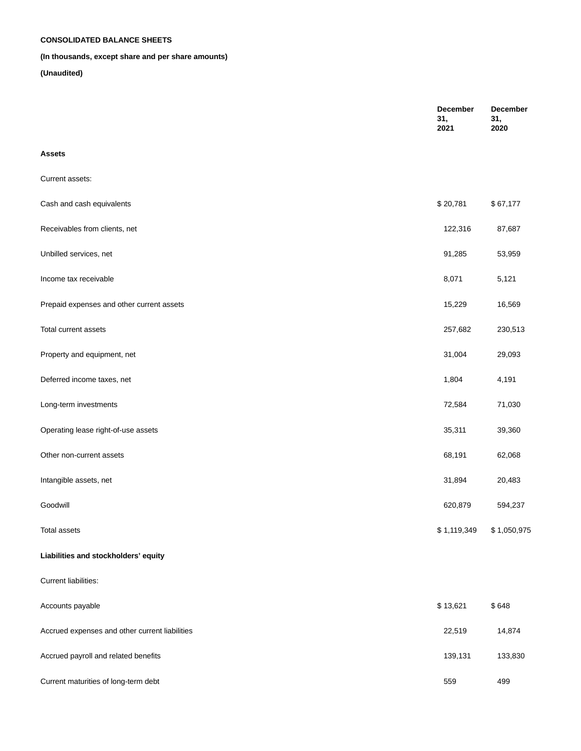## **CONSOLIDATED BALANCE SHEETS**

## **(In thousands, except share and per share amounts)**

|                                                | December<br>31,<br>2021 | <b>December</b><br>31,<br>2020 |
|------------------------------------------------|-------------------------|--------------------------------|
| <b>Assets</b>                                  |                         |                                |
| Current assets:                                |                         |                                |
| Cash and cash equivalents                      | \$20,781                | \$67,177                       |
| Receivables from clients, net                  | 122,316                 | 87,687                         |
| Unbilled services, net                         | 91,285                  | 53,959                         |
| Income tax receivable                          | 8,071                   | 5,121                          |
| Prepaid expenses and other current assets      | 15,229                  | 16,569                         |
| Total current assets                           | 257,682                 | 230,513                        |
| Property and equipment, net                    | 31,004                  | 29,093                         |
| Deferred income taxes, net                     | 1,804                   | 4,191                          |
| Long-term investments                          | 72,584                  | 71,030                         |
| Operating lease right-of-use assets            | 35,311                  | 39,360                         |
| Other non-current assets                       | 68,191                  | 62,068                         |
| Intangible assets, net                         | 31,894                  | 20,483                         |
| Goodwill                                       | 620,879                 | 594,237                        |
| <b>Total assets</b>                            | \$1,119,349             | \$1,050,975                    |
| Liabilities and stockholders' equity           |                         |                                |
| Current liabilities:                           |                         |                                |
| Accounts payable                               | \$13,621                | \$648                          |
| Accrued expenses and other current liabilities | 22,519                  | 14,874                         |
| Accrued payroll and related benefits           | 139,131                 | 133,830                        |
| Current maturities of long-term debt           | 559                     | 499                            |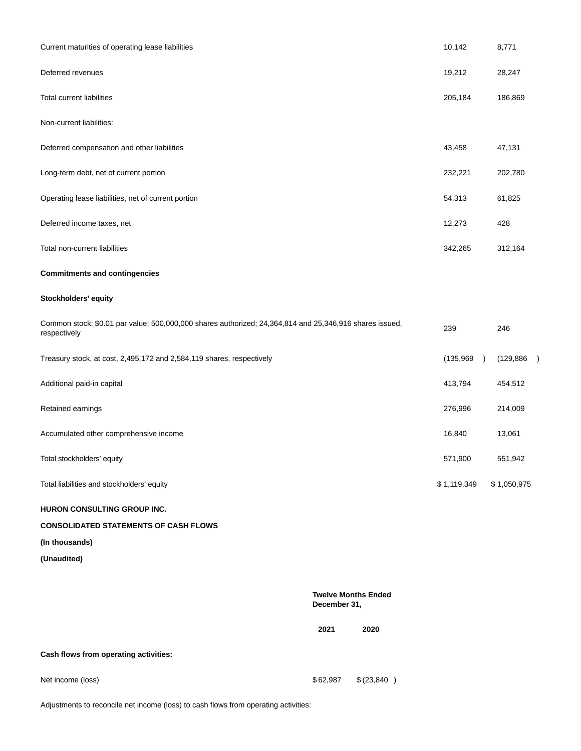| Current maturities of operating lease liabilities                                                                       |                                            |            | 10,142                 | 8,771                   |
|-------------------------------------------------------------------------------------------------------------------------|--------------------------------------------|------------|------------------------|-------------------------|
| Deferred revenues                                                                                                       |                                            |            | 19,212                 | 28,247                  |
| <b>Total current liabilities</b>                                                                                        |                                            |            | 205,184                | 186,869                 |
| Non-current liabilities:                                                                                                |                                            |            |                        |                         |
| Deferred compensation and other liabilities                                                                             |                                            |            | 43,458                 | 47,131                  |
| Long-term debt, net of current portion                                                                                  |                                            |            | 232,221                | 202,780                 |
| Operating lease liabilities, net of current portion                                                                     |                                            |            | 54,313                 | 61,825                  |
| Deferred income taxes, net                                                                                              |                                            |            | 12,273                 | 428                     |
| Total non-current liabilities                                                                                           |                                            |            | 342,265                | 312,164                 |
| <b>Commitments and contingencies</b>                                                                                    |                                            |            |                        |                         |
| Stockholders' equity                                                                                                    |                                            |            |                        |                         |
| Common stock; \$0.01 par value; 500,000,000 shares authorized; 24,364,814 and 25,346,916 shares issued,<br>respectively |                                            |            | 239                    | 246                     |
| Treasury stock, at cost, 2,495,172 and 2,584,119 shares, respectively                                                   |                                            |            | (135,969)<br>$\lambda$ | (129, 886)<br>$\lambda$ |
| Additional paid-in capital                                                                                              |                                            |            | 413,794                | 454,512                 |
| Retained earnings                                                                                                       |                                            |            | 276,996                | 214,009                 |
| Accumulated other comprehensive income                                                                                  |                                            |            | 16,840                 | 13,061                  |
| Total stockholders' equity                                                                                              |                                            |            | 571,900                | 551,942                 |
| Total liabilities and stockholders' equity                                                                              |                                            |            | \$1,119,349            | \$1,050,975             |
| HURON CONSULTING GROUP INC.                                                                                             |                                            |            |                        |                         |
| <b>CONSOLIDATED STATEMENTS OF CASH FLOWS</b>                                                                            |                                            |            |                        |                         |
| (In thousands)                                                                                                          |                                            |            |                        |                         |
| (Unaudited)                                                                                                             |                                            |            |                        |                         |
|                                                                                                                         | <b>Twelve Months Ended</b><br>December 31, |            |                        |                         |
|                                                                                                                         | 2021                                       | 2020       |                        |                         |
| Cash flows from operating activities:                                                                                   |                                            |            |                        |                         |
| Net income (loss)                                                                                                       | \$62,987                                   | \$(23,840) |                        |                         |

Adjustments to reconcile net income (loss) to cash flows from operating activities: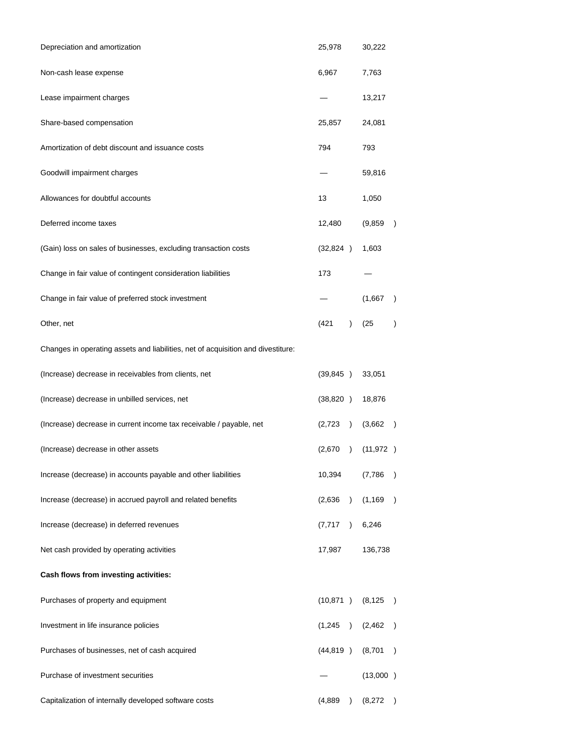| Depreciation and amortization                                                    | 25,978    |               | 30,222    |               |
|----------------------------------------------------------------------------------|-----------|---------------|-----------|---------------|
| Non-cash lease expense                                                           | 6,967     |               | 7,763     |               |
| Lease impairment charges                                                         |           |               | 13,217    |               |
| Share-based compensation                                                         | 25,857    |               | 24,081    |               |
| Amortization of debt discount and issuance costs                                 | 794       |               | 793       |               |
| Goodwill impairment charges                                                      |           |               | 59,816    |               |
| Allowances for doubtful accounts                                                 | 13        |               | 1,050     |               |
| Deferred income taxes                                                            | 12,480    |               | (9, 859)  |               |
| (Gain) loss on sales of businesses, excluding transaction costs                  | (32,824)  |               | 1,603     |               |
| Change in fair value of contingent consideration liabilities                     | 173       |               |           |               |
| Change in fair value of preferred stock investment                               |           |               | (1,667)   |               |
| Other, net                                                                       | (421)     | $\mathcal{L}$ | (25)      |               |
| Changes in operating assets and liabilities, net of acquisition and divestiture: |           |               |           |               |
| (Increase) decrease in receivables from clients, net                             | (39, 845) |               | 33,051    |               |
| (Increase) decrease in unbilled services, net                                    | (38, 820) |               | 18,876    |               |
| (Increase) decrease in current income tax receivable / payable, net              | (2,723)   | $\lambda$     | (3,662)   | $\mathcal{E}$ |
| (Increase) decrease in other assets                                              | (2,670)   | $\lambda$     | (11, 972) |               |
| Increase (decrease) in accounts payable and other liabilities                    | 10,394    |               | (7,786)   | ⟩             |
| Increase (decrease) in accrued payroll and related benefits                      | (2,636)   | $\lambda$     | (1, 169)  | $\mathcal{E}$ |
| Increase (decrease) in deferred revenues                                         | (7, 717)  | $\lambda$     | 6,246     |               |
| Net cash provided by operating activities                                        | 17,987    |               | 136,738   |               |
| Cash flows from investing activities:                                            |           |               |           |               |
| Purchases of property and equipment                                              | (10, 871) |               | (8, 125)  | ⟩             |
| Investment in life insurance policies                                            | (1,245)   | $\lambda$     | (2, 462)  | $\lambda$     |
| Purchases of businesses, net of cash acquired                                    | (44, 819) |               | (8,701)   | $\mathcal{E}$ |
| Purchase of investment securities                                                |           |               | (13,000)  |               |
| Capitalization of internally developed software costs                            | (4,889)   | $\lambda$     | (8,272)   |               |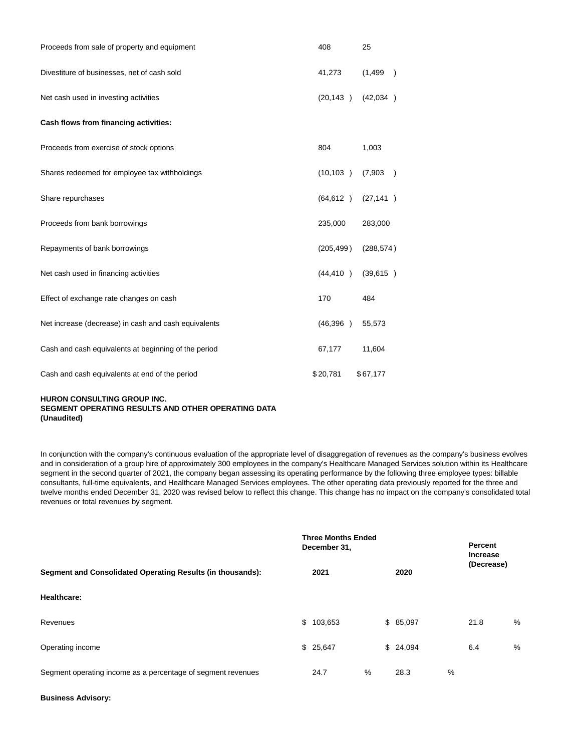| Proceeds from sale of property and equipment         | 408        | 25                        |
|------------------------------------------------------|------------|---------------------------|
| Divestiture of businesses, net of cash sold          | 41,273     | (1, 499)<br>$\rightarrow$ |
| Net cash used in investing activities                | (20, 143)  | (42,034)                  |
| Cash flows from financing activities:                |            |                           |
| Proceeds from exercise of stock options              | 804        | 1,003                     |
| Shares redeemed for employee tax withholdings        | (10, 103)  | (7,903)<br>$\rightarrow$  |
| Share repurchases                                    | (64, 612)  | (27, 141)                 |
| Proceeds from bank borrowings                        | 235,000    | 283,000                   |
| Repayments of bank borrowings                        | (205, 499) | (288, 574)                |
| Net cash used in financing activities                | (44, 410)  | (39, 615)                 |
| Effect of exchange rate changes on cash              | 170        | 484                       |
| Net increase (decrease) in cash and cash equivalents | (46,396)   | 55,573                    |
| Cash and cash equivalents at beginning of the period | 67,177     | 11,604                    |
| Cash and cash equivalents at end of the period       | \$20,781   | \$67,177                  |

## **HURON CONSULTING GROUP INC. SEGMENT OPERATING RESULTS AND OTHER OPERATING DATA (Unaudited)**

In conjunction with the company's continuous evaluation of the appropriate level of disaggregation of revenues as the company's business evolves and in consideration of a group hire of approximately 300 employees in the company's Healthcare Managed Services solution within its Healthcare segment in the second quarter of 2021, the company began assessing its operating performance by the following three employee types: billable consultants, full-time equivalents, and Healthcare Managed Services employees. The other operating data previously reported for the three and twelve months ended December 31, 2020 was revised below to reflect this change. This change has no impact on the company's consolidated total revenues or total revenues by segment.

|                                                              | <b>Three Months Ended</b><br>December 31, |           |      |          | Percent<br><b>Increase</b> |            |   |
|--------------------------------------------------------------|-------------------------------------------|-----------|------|----------|----------------------------|------------|---|
| Segment and Consolidated Operating Results (in thousands):   |                                           | 2021      |      | 2020     |                            | (Decrease) |   |
| Healthcare:                                                  |                                           |           |      |          |                            |            |   |
| Revenues                                                     |                                           | \$103,653 |      | \$85,097 |                            | 21.8       | % |
| Operating income                                             |                                           | \$25,647  |      | \$24,094 |                            | 6.4        | % |
| Segment operating income as a percentage of segment revenues |                                           | 24.7      | $\%$ | 28.3     | %                          |            |   |

#### **Business Advisory:**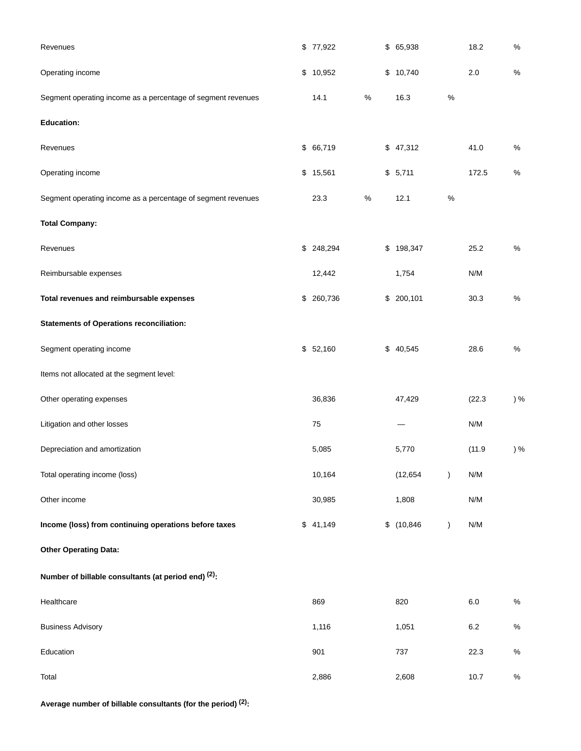| Revenues                                                     | \$77,922   |      | \$ 65,938    |               | 18.2    | $\%$ |
|--------------------------------------------------------------|------------|------|--------------|---------------|---------|------|
| Operating income                                             | \$10,952   |      | \$<br>10,740 |               | 2.0     | $\%$ |
| Segment operating income as a percentage of segment revenues | 14.1       | $\%$ | 16.3         | $\%$          |         |      |
| <b>Education:</b>                                            |            |      |              |               |         |      |
| Revenues                                                     | \$66,719   |      | \$47,312     |               | 41.0    | $\%$ |
| Operating income                                             | \$15,561   |      | \$5,711      |               | 172.5   | $\%$ |
| Segment operating income as a percentage of segment revenues | 23.3       | $\%$ | 12.1         | $\%$          |         |      |
| <b>Total Company:</b>                                        |            |      |              |               |         |      |
| Revenues                                                     | \$ 248,294 |      | \$198,347    |               | 25.2    | $\%$ |
| Reimbursable expenses                                        | 12,442     |      | 1,754        |               | N/M     |      |
| Total revenues and reimbursable expenses                     | \$ 260,736 |      | \$200,101    |               | 30.3    | $\%$ |
| <b>Statements of Operations reconciliation:</b>              |            |      |              |               |         |      |
| Segment operating income                                     | \$52,160   |      | \$40,545     |               | 28.6    | $\%$ |
| Items not allocated at the segment level:                    |            |      |              |               |         |      |
| Other operating expenses                                     | 36,836     |      | 47,429       |               | (22.3)  | ) %  |
| Litigation and other losses                                  | 75         |      |              |               | N/M     |      |
| Depreciation and amortization                                | 5,085      |      | 5,770        |               | (11.9)  | ) %  |
| Total operating income (loss)                                | 10,164     |      | (12, 654)    | $\lambda$     | N/M     |      |
| Other income                                                 | 30,985     |      | 1,808        |               | N/M     |      |
| Income (loss) from continuing operations before taxes        | \$41,149   |      | \$(10, 846)  | $\mathcal{E}$ | N/M     |      |
| <b>Other Operating Data:</b>                                 |            |      |              |               |         |      |
| Number of billable consultants (at period end) (2):          |            |      |              |               |         |      |
| Healthcare                                                   | 869        |      | 820          |               | $6.0\,$ | $\%$ |
| <b>Business Advisory</b>                                     | 1,116      |      | 1,051        |               | 6.2     | $\%$ |
| Education                                                    | 901        |      | 737          |               | 22.3    | $\%$ |
| Total                                                        | 2,886      |      | 2,608        |               | 10.7    | $\%$ |

**Average number of billable consultants (for the period) (2):**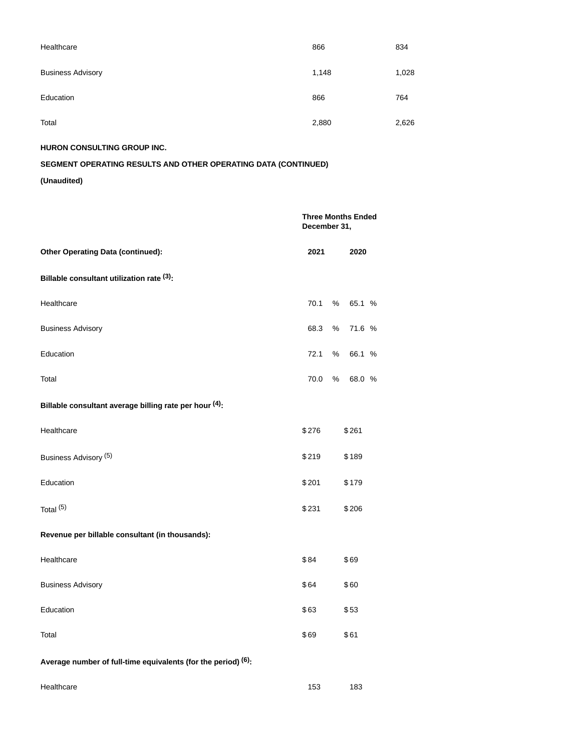| Healthcare               | 866   | 834   |
|--------------------------|-------|-------|
| <b>Business Advisory</b> | 1,148 | 1,028 |
| Education                | 866   | 764   |
| Total                    | 2,880 | 2,626 |

**HURON CONSULTING GROUP INC.**

# **SEGMENT OPERATING RESULTS AND OTHER OPERATING DATA (CONTINUED)**

|                                                               | December 31, | <b>Three Months Ended</b> |
|---------------------------------------------------------------|--------------|---------------------------|
| <b>Other Operating Data (continued):</b>                      | 2021         | 2020                      |
| Billable consultant utilization rate (3):                     |              |                           |
| Healthcare                                                    | 70.1         | %<br>65.1 %               |
| <b>Business Advisory</b>                                      | 68.3         | %<br>71.6 %               |
| Education                                                     | 72.1         | %<br>66.1 %               |
| Total                                                         | 70.0         | %<br>68.0 %               |
| Billable consultant average billing rate per hour (4):        |              |                           |
| Healthcare                                                    | \$276        | \$261                     |
| Business Advisory (5)                                         | \$219        | \$189                     |
| Education                                                     | \$201        | \$179                     |
| Total <sup>(5)</sup>                                          | \$231        | \$206                     |
| Revenue per billable consultant (in thousands):               |              |                           |
| Healthcare                                                    | \$84         | \$69                      |
| <b>Business Advisory</b>                                      | \$64         | \$60                      |
| Education                                                     | \$63         | \$53                      |
| Total                                                         | \$69         | \$61                      |
| Average number of full-time equivalents (for the period) (6): |              |                           |
| Healthcare                                                    | 153          | 183                       |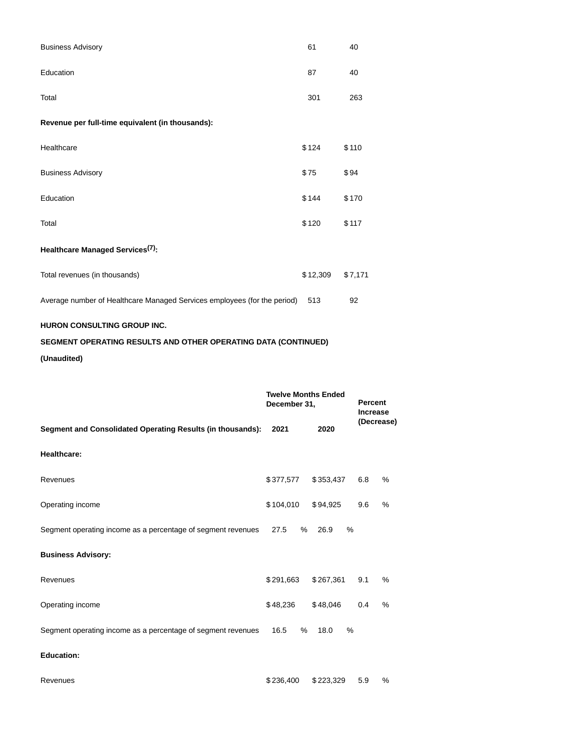| <b>Business Advisory</b>                                                 | 61       | 40      |
|--------------------------------------------------------------------------|----------|---------|
| Education                                                                | 87       | 40      |
| Total                                                                    | 301      | 263     |
| Revenue per full-time equivalent (in thousands):                         |          |         |
| Healthcare                                                               | \$124    | \$110   |
| <b>Business Advisory</b>                                                 | \$75     | \$94    |
| Education                                                                | \$144    | \$170   |
| Total                                                                    | \$120    | \$117   |
| Healthcare Managed Services <sup>(7)</sup> :                             |          |         |
| Total revenues (in thousands)                                            | \$12,309 | \$7,171 |
| Average number of Healthcare Managed Services employees (for the period) | 513      | 92      |
| <b>HURON CONSULTING GROUP INC.</b>                                       |          |         |

# **SEGMENT OPERATING RESULTS AND OTHER OPERATING DATA (CONTINUED)**

|                                                              | <b>Twelve Months Ended</b><br>December 31, | <b>Percent</b><br><b>Increase</b> |            |      |
|--------------------------------------------------------------|--------------------------------------------|-----------------------------------|------------|------|
| Segment and Consolidated Operating Results (in thousands):   | 2021                                       | 2020                              | (Decrease) |      |
| <b>Healthcare:</b>                                           |                                            |                                   |            |      |
| Revenues                                                     | \$377,577                                  | \$353,437                         | 6.8        | $\%$ |
| Operating income                                             | \$104,010                                  | \$94,925                          | 9.6        | %    |
| Segment operating income as a percentage of segment revenues | 27.5<br>%                                  | %<br>26.9                         |            |      |
| <b>Business Advisory:</b>                                    |                                            |                                   |            |      |
| Revenues                                                     | \$291,663                                  | \$267,361                         | 9.1        | $\%$ |
| Operating income                                             | \$48,236                                   | \$48,046                          | 0.4        | %    |
| Segment operating income as a percentage of segment revenues | 16.5<br>$\%$                               | 18.0<br>$\frac{0}{0}$             |            |      |
| <b>Education:</b>                                            |                                            |                                   |            |      |
| Revenues                                                     | \$236,400                                  | \$223,329                         | 5.9        | %    |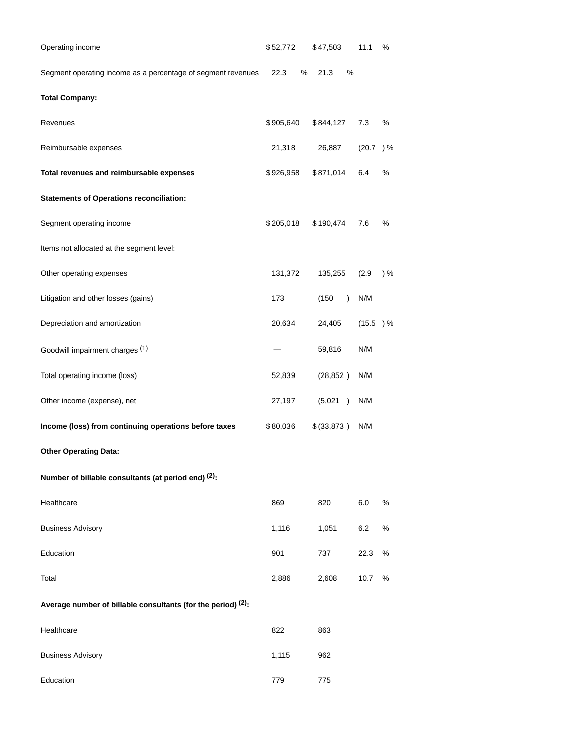| Operating income                                             | \$52,772     | \$47,503           | 11.1     | %   |
|--------------------------------------------------------------|--------------|--------------------|----------|-----|
| Segment operating income as a percentage of segment revenues | $\%$<br>22.3 | 21.3<br>$\%$       |          |     |
| <b>Total Company:</b>                                        |              |                    |          |     |
| Revenues                                                     | \$905,640    | \$844,127          | 7.3      | %   |
| Reimbursable expenses                                        | 21,318       | 26,887             | (20.7) % |     |
| Total revenues and reimbursable expenses                     | \$926,958    | \$871,014          | 6.4      | %   |
| <b>Statements of Operations reconciliation:</b>              |              |                    |          |     |
| Segment operating income                                     | \$205,018    | \$190,474          | 7.6      | %   |
| Items not allocated at the segment level:                    |              |                    |          |     |
| Other operating expenses                                     | 131,372      | 135,255            | (2.9)    | ) % |
| Litigation and other losses (gains)                          | 173          | (150)<br>$\lambda$ | N/M      |     |
| Depreciation and amortization                                | 20,634       | 24,405             | (15.5) % |     |
| Goodwill impairment charges (1)                              |              | 59,816             | N/M      |     |
| Total operating income (loss)                                | 52,839       | (28, 852)          | N/M      |     |
| Other income (expense), net                                  | 27,197       | (5,021)            | N/M      |     |
| Income (loss) from continuing operations before taxes        | \$80,036     | \$ (33,873)        | N/M      |     |
| <b>Other Operating Data:</b>                                 |              |                    |          |     |
| Number of billable consultants (at period end) (2):          |              |                    |          |     |
| Healthcare                                                   | 869          | 820                | 6.0      | %   |
| <b>Business Advisory</b>                                     | 1,116        | 1,051              | 6.2      | %   |
| Education                                                    | 901          | 737                | 22.3     | %   |
| Total                                                        | 2,886        | 2,608              | 10.7     | %   |
| Average number of billable consultants (for the period) (2): |              |                    |          |     |
| Healthcare                                                   | 822          | 863                |          |     |
| <b>Business Advisory</b>                                     | 1,115        | 962                |          |     |
| Education                                                    | 779          | 775                |          |     |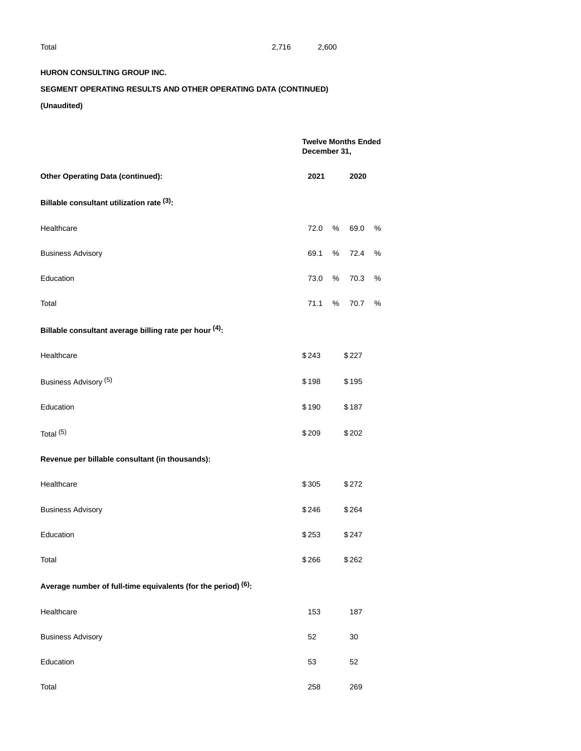## **HURON CONSULTING GROUP INC.**

# **SEGMENT OPERATING RESULTS AND OTHER OPERATING DATA (CONTINUED)**

|                                                               |       | <b>Twelve Months Ended</b><br>December 31, |   |  |  |  |
|---------------------------------------------------------------|-------|--------------------------------------------|---|--|--|--|
| <b>Other Operating Data (continued):</b>                      |       | 2020                                       |   |  |  |  |
| Billable consultant utilization rate (3):                     |       |                                            |   |  |  |  |
| Healthcare                                                    | 72.0  | %<br>69.0                                  | % |  |  |  |
| <b>Business Advisory</b>                                      | 69.1  | 72.4<br>%                                  | % |  |  |  |
| Education                                                     | 73.0  | %<br>70.3                                  | % |  |  |  |
| Total                                                         | 71.1  | %<br>70.7                                  | % |  |  |  |
| Billable consultant average billing rate per hour (4):        |       |                                            |   |  |  |  |
| Healthcare                                                    | \$243 | \$227                                      |   |  |  |  |
| Business Advisory <sup>(5)</sup>                              | \$198 | \$195                                      |   |  |  |  |
| Education                                                     | \$190 | \$187                                      |   |  |  |  |
| Total <sup>(5)</sup>                                          | \$209 | \$202                                      |   |  |  |  |
| Revenue per billable consultant (in thousands):               |       |                                            |   |  |  |  |
| Healthcare                                                    | \$305 | \$272                                      |   |  |  |  |
| <b>Business Advisory</b>                                      | \$246 | \$264                                      |   |  |  |  |
| Education                                                     | \$253 | \$247                                      |   |  |  |  |
| Total                                                         | \$266 | \$262                                      |   |  |  |  |
| Average number of full-time equivalents (for the period) (6): |       |                                            |   |  |  |  |
| Healthcare                                                    | 153   | 187                                        |   |  |  |  |
| <b>Business Advisory</b>                                      | 52    | 30                                         |   |  |  |  |
| Education                                                     | 53    | 52                                         |   |  |  |  |
| Total                                                         | 258   | 269                                        |   |  |  |  |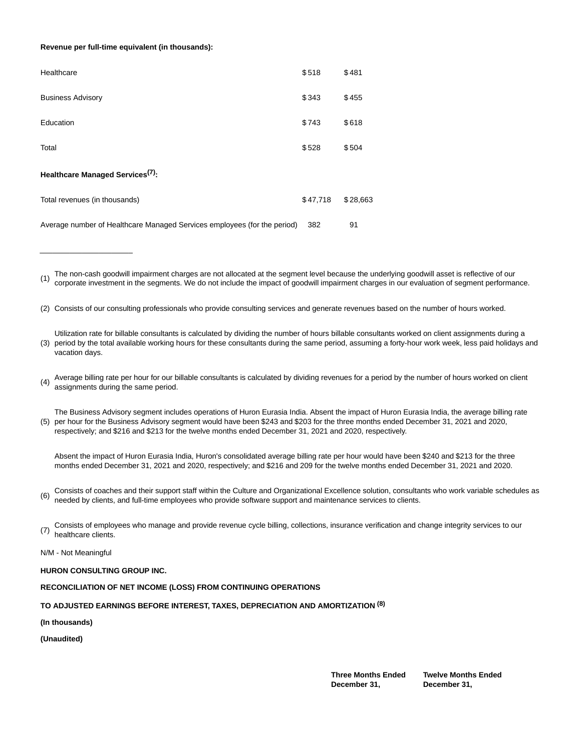#### **Revenue per full-time equivalent (in thousands):**

| Healthcare                                                               | \$518    | \$481    |
|--------------------------------------------------------------------------|----------|----------|
| <b>Business Advisory</b>                                                 | \$343    | \$455    |
| Education                                                                | \$743    | \$618    |
| Total                                                                    | \$528    | \$504    |
| Healthcare Managed Services <sup>(7)</sup> :                             |          |          |
| Total revenues (in thousands)                                            | \$47,718 | \$28,663 |
| Average number of Healthcare Managed Services employees (for the period) | 382      | 91       |

(1) The non-cash goodwill impairment charges are not allocated at the segment level because the underlying goodwill asset is reflective of our corporate investment in the segments. We do not include the impact of goodwill impairment charges in our evaluation of segment performance.

(2) Consists of our consulting professionals who provide consulting services and generate revenues based on the number of hours worked.

(3) period by the total available working hours for these consultants during the same period, assuming a forty-hour work week, less paid holidays and Utilization rate for billable consultants is calculated by dividing the number of hours billable consultants worked on client assignments during a vacation days.

Average billing rate per hour for our billable consultants is calculated by dividing revenues for a period by the number of hours worked on client  $(4)$ assignments during the same period.

(5) per hour for the Business Advisory segment would have been \$243 and \$203 for the three months ended December 31, 2021 and 2020, The Business Advisory segment includes operations of Huron Eurasia India. Absent the impact of Huron Eurasia India, the average billing rate respectively; and \$216 and \$213 for the twelve months ended December 31, 2021 and 2020, respectively.

Absent the impact of Huron Eurasia India, Huron's consolidated average billing rate per hour would have been \$240 and \$213 for the three months ended December 31, 2021 and 2020, respectively; and \$216 and 209 for the twelve months ended December 31, 2021 and 2020.

(6) Consists of coaches and their support staff within the Culture and Organizational Excellence solution, consultants who work variable schedules as<br>needed by eligate, and full time employees who provide estimate support needed by clients, and full-time employees who provide software support and maintenance services to clients.

(7) Consists of employees who manage and provide revenue cycle billing, collections, insurance verification and change integrity services to our<br>
(7) Inself have alleated healthcare clients.

N/M - Not Meaningful

 $\_$ 

### **HURON CONSULTING GROUP INC.**

## **RECONCILIATION OF NET INCOME (LOSS) FROM CONTINUING OPERATIONS**

## **TO ADJUSTED EARNINGS BEFORE INTEREST, TAXES, DEPRECIATION AND AMORTIZATION (8)**

**(In thousands)**

**(Unaudited)**

**Three Months Ended December 31,**

**Twelve Months Ended December 31,**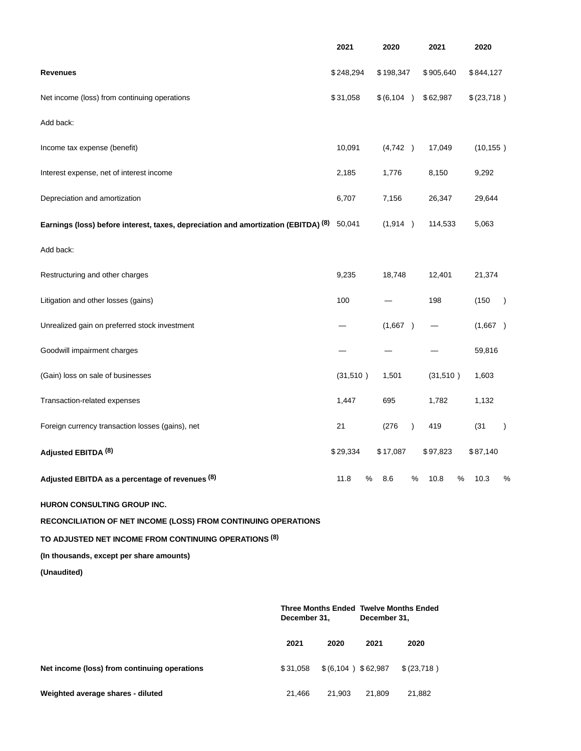|                                                                                           |                                                               | 2021                |      | 2020         |           | 2021       |      | 2020       |               |
|-------------------------------------------------------------------------------------------|---------------------------------------------------------------|---------------------|------|--------------|-----------|------------|------|------------|---------------|
| <b>Revenues</b>                                                                           |                                                               | \$248,294           |      | \$198,347    |           | \$905,640  |      | \$844,127  |               |
| Net income (loss) from continuing operations                                              |                                                               | \$31,058            |      | \$(6,104)    |           | \$62,987   |      | \$(23,718) |               |
| Add back:                                                                                 |                                                               |                     |      |              |           |            |      |            |               |
| Income tax expense (benefit)                                                              |                                                               | 10,091              |      | (4,742)      |           | 17,049     |      | (10, 155)  |               |
| Interest expense, net of interest income                                                  |                                                               | 2,185               |      | 1,776        |           | 8,150      |      | 9,292      |               |
| Depreciation and amortization                                                             |                                                               | 6,707               |      | 7,156        |           | 26,347     |      | 29,644     |               |
| Earnings (loss) before interest, taxes, depreciation and amortization (EBITDA) (8) 50,041 |                                                               |                     |      | (1,914)      |           | 114,533    |      | 5,063      |               |
| Add back:                                                                                 |                                                               |                     |      |              |           |            |      |            |               |
| Restructuring and other charges                                                           |                                                               | 9,235               |      | 18,748       |           | 12,401     |      | 21,374     |               |
| Litigation and other losses (gains)                                                       |                                                               | 100                 |      |              |           | 198        |      | (150)      | $\rightarrow$ |
| Unrealized gain on preferred stock investment                                             |                                                               |                     |      | (1,667)      |           |            |      | (1,667)    |               |
| Goodwill impairment charges                                                               |                                                               |                     |      |              |           |            |      | 59,816     |               |
| (Gain) loss on sale of businesses                                                         |                                                               | (31,510)            |      | 1,501        |           | (31,510)   |      | 1,603      |               |
| Transaction-related expenses                                                              |                                                               | 1,447               |      | 695          |           | 1,782      |      | 1,132      |               |
| Foreign currency transaction losses (gains), net                                          |                                                               | 21                  |      | (276)        | $\lambda$ | 419        |      | (31)       | $\lambda$     |
| Adjusted EBITDA <sup>(8)</sup>                                                            |                                                               | \$29,334            |      | \$17,087     |           | \$97,823   |      | \$87,140   |               |
| Adjusted EBITDA as a percentage of revenues (8)                                           |                                                               | 11.8                | %    | 8.6          | %         | 10.8       | $\%$ | 10.3       | %             |
| HURON CONSULTING GROUP INC.                                                               |                                                               |                     |      |              |           |            |      |            |               |
| RECONCILIATION OF NET INCOME (LOSS) FROM CONTINUING OPERATIONS                            |                                                               |                     |      |              |           |            |      |            |               |
| TO ADJUSTED NET INCOME FROM CONTINUING OPERATIONS (8)                                     |                                                               |                     |      |              |           |            |      |            |               |
| (In thousands, except per share amounts)                                                  |                                                               |                     |      |              |           |            |      |            |               |
| (Unaudited)                                                                               |                                                               |                     |      |              |           |            |      |            |               |
|                                                                                           | <b>Three Months Ended Twelve Months Ended</b><br>December 31, |                     |      | December 31, |           |            |      |            |               |
|                                                                                           | 2021                                                          | 2020                | 2021 |              | 2020      |            |      |            |               |
| Net income (loss) from continuing operations                                              | \$31,058                                                      | $$(6,104)$ \$62,987 |      |              |           | \$(23,718) |      |            |               |

**Weighted average shares - diluted** 21,466 21,903 21,809 21,882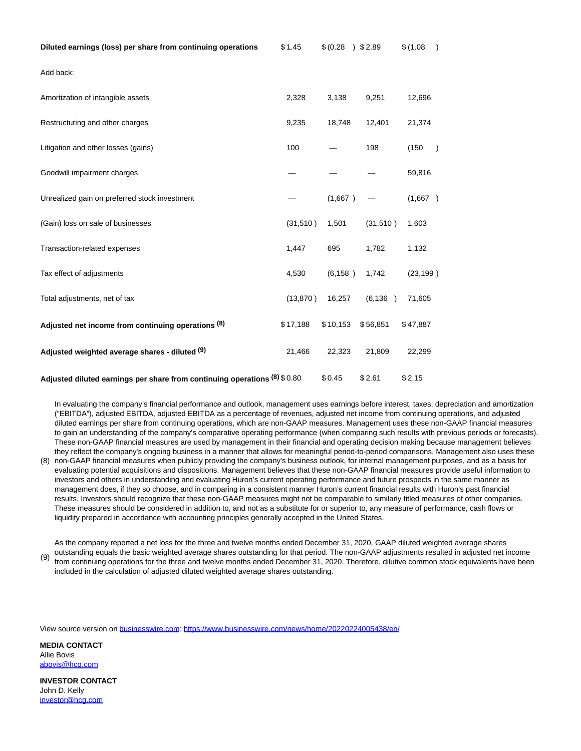| Diluted earnings (loss) per share from continuing operations               | \$1.45    | \$ (0.28) | 32.89    | \$(1.08)  | $\lambda$ |
|----------------------------------------------------------------------------|-----------|-----------|----------|-----------|-----------|
| Add back:                                                                  |           |           |          |           |           |
| Amortization of intangible assets                                          | 2,328     | 3,138     | 9,251    | 12,696    |           |
| Restructuring and other charges                                            | 9,235     | 18,748    | 12,401   | 21,374    |           |
| Litigation and other losses (gains)                                        | 100       |           | 198      | (150)     | $\lambda$ |
| Goodwill impairment charges                                                |           |           |          | 59,816    |           |
| Unrealized gain on preferred stock investment                              |           | (1,667)   |          | (1,667)   |           |
| (Gain) loss on sale of businesses                                          | (31,510)  | 1,501     | (31,510) | 1,603     |           |
| Transaction-related expenses                                               | 1,447     | 695       | 1,782    | 1,132     |           |
| Tax effect of adjustments                                                  | 4,530     | (6, 158)  | 1,742    | (23, 199) |           |
| Total adjustments, net of tax                                              | (13, 870) | 16,257    | (6, 136) | 71,605    |           |
| Adjusted net income from continuing operations (8)                         | \$17,188  | \$10,153  | \$56,851 | \$47,887  |           |
| Adjusted weighted average shares - diluted (9)                             | 21,466    | 22,323    | 21,809   | 22,299    |           |
| Adjusted diluted earnings per share from continuing operations (8) \$ 0.80 |           | \$0.45    | \$2.61   | \$2.15    |           |

In evaluating the company's financial performance and outlook, management uses earnings before interest, taxes, depreciation and amortization ("EBITDA"), adjusted EBITDA, adjusted EBITDA as a percentage of revenues, adjusted net income from continuing operations, and adjusted diluted earnings per share from continuing operations, which are non-GAAP measures. Management uses these non-GAAP financial measures to gain an understanding of the company's comparative operating performance (when comparing such results with previous periods or forecasts). These non-GAAP financial measures are used by management in their financial and operating decision making because management believes they reflect the company's ongoing business in a manner that allows for meaningful period-to-period comparisons. Management also uses these

(8) non-GAAP financial measures when publicly providing the company's business outlook, for internal management purposes, and as a basis for evaluating potential acquisitions and dispositions. Management believes that these non-GAAP financial measures provide useful information to investors and others in understanding and evaluating Huron's current operating performance and future prospects in the same manner as management does, if they so choose, and in comparing in a consistent manner Huron's current financial results with Huron's past financial results. Investors should recognize that these non-GAAP measures might not be comparable to similarly titled measures of other companies. These measures should be considered in addition to, and not as a substitute for or superior to, any measure of performance, cash flows or liquidity prepared in accordance with accounting principles generally accepted in the United States.

(9) As the company reported a net loss for the three and twelve months ended December 31, 2020, GAAP diluted weighted average shares outstanding equals the basic weighted average shares outstanding for that period. The non-GAAP adjustments resulted in adjusted net income from continuing operations for the three and twelve months ended December 31, 2020. Therefore, dilutive common stock equivalents have been included in the calculation of adjusted diluted weighted average shares outstanding.

View source version on [businesswire.com:](http://businesswire.com/)<https://www.businesswire.com/news/home/20220224005438/en/>

**MEDIA CONTACT** Allie Bovis [abovis@hcg.com](mailto:abovis@hcg.com)

**INVESTOR CONTACT** John D. Kelly [investor@hcg.com](mailto:investor@hcg.com)